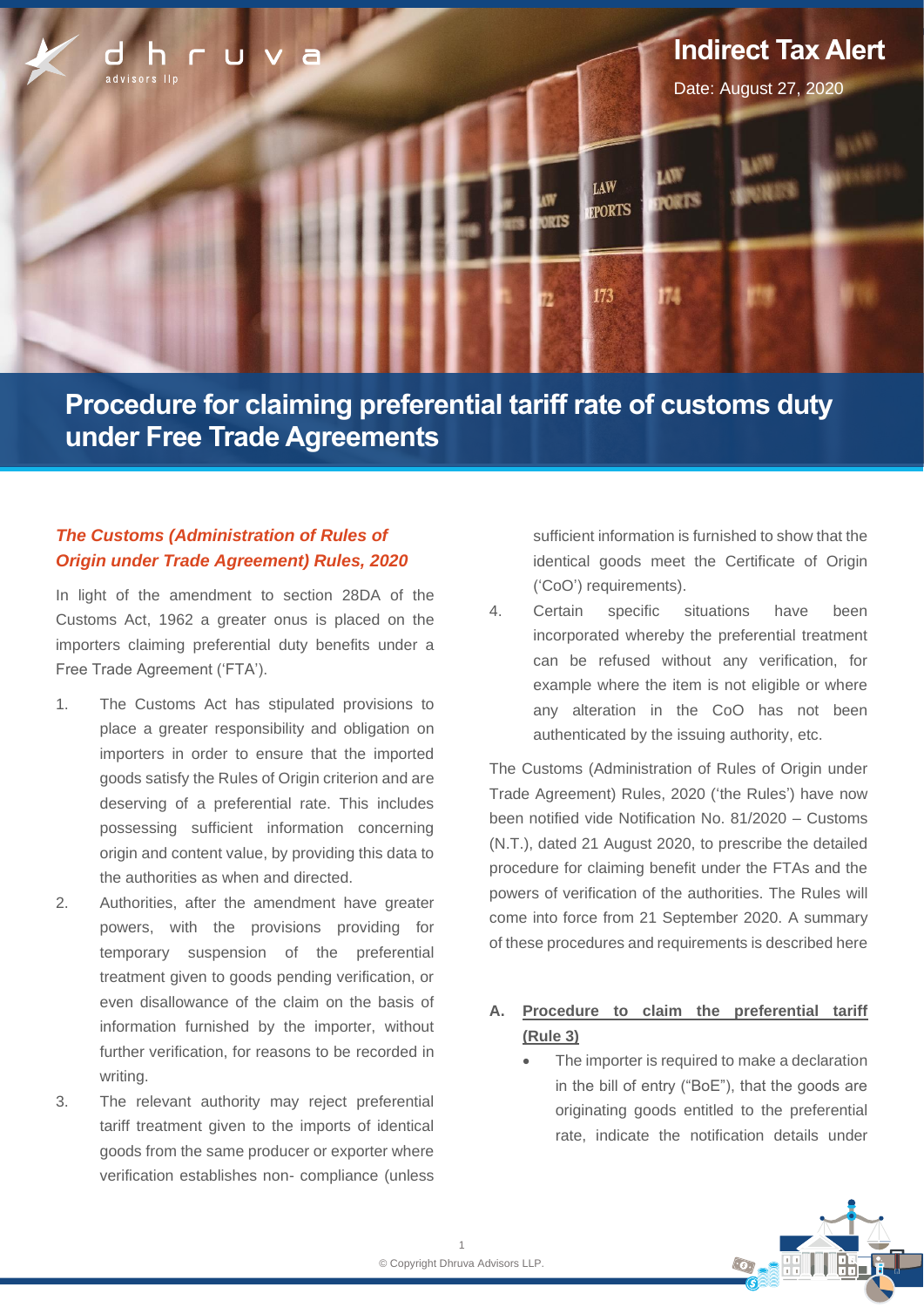

**Procedure for claiming preferential tariff rate of customs duty under Free Trade Agreements**

# *The Customs (Administration of Rules of Origin under Trade Agreement) Rules, 2020*

In light of the amendment to section 28DA of the Customs Act, 1962 a greater onus is placed on the importers claiming preferential duty benefits under a Free Trade Agreement ('FTA').

- 1. The Customs Act has stipulated provisions to place a greater responsibility and obligation on importers in order to ensure that the imported goods satisfy the Rules of Origin criterion and are deserving of a preferential rate. This includes possessing sufficient information concerning origin and content value, by providing this data to the authorities as when and directed.
- 2. Authorities, after the amendment have greater powers, with the provisions providing for temporary suspension of the preferential treatment given to goods pending verification, or even disallowance of the claim on the basis of information furnished by the importer, without further verification, for reasons to be recorded in writing.
- 3. The relevant authority may reject preferential tariff treatment given to the imports of identical goods from the same producer or exporter where verification establishes non- compliance (unless

sufficient information is furnished to show that the identical goods meet the Certificate of Origin ('CoO') requirements).

4. Certain specific situations have been incorporated whereby the preferential treatment can be refused without any verification, for example where the item is not eligible or where any alteration in the CoO has not been authenticated by the issuing authority, etc.

The Customs (Administration of Rules of Origin under Trade Agreement) Rules, 2020 ('the Rules') have now been notified vide Notification No. 81/2020 – Customs (N.T.), dated 21 August 2020, to prescribe the detailed procedure for claiming benefit under the FTAs and the powers of verification of the authorities. The Rules will come into force from 21 September 2020. A summary of these procedures and requirements is described here

- **A. Procedure to claim the preferential tariff (Rule 3)**
	- The importer is required to make a declaration in the bill of entry ("BoE"), that the goods are originating goods entitled to the preferential rate, indicate the notification details under

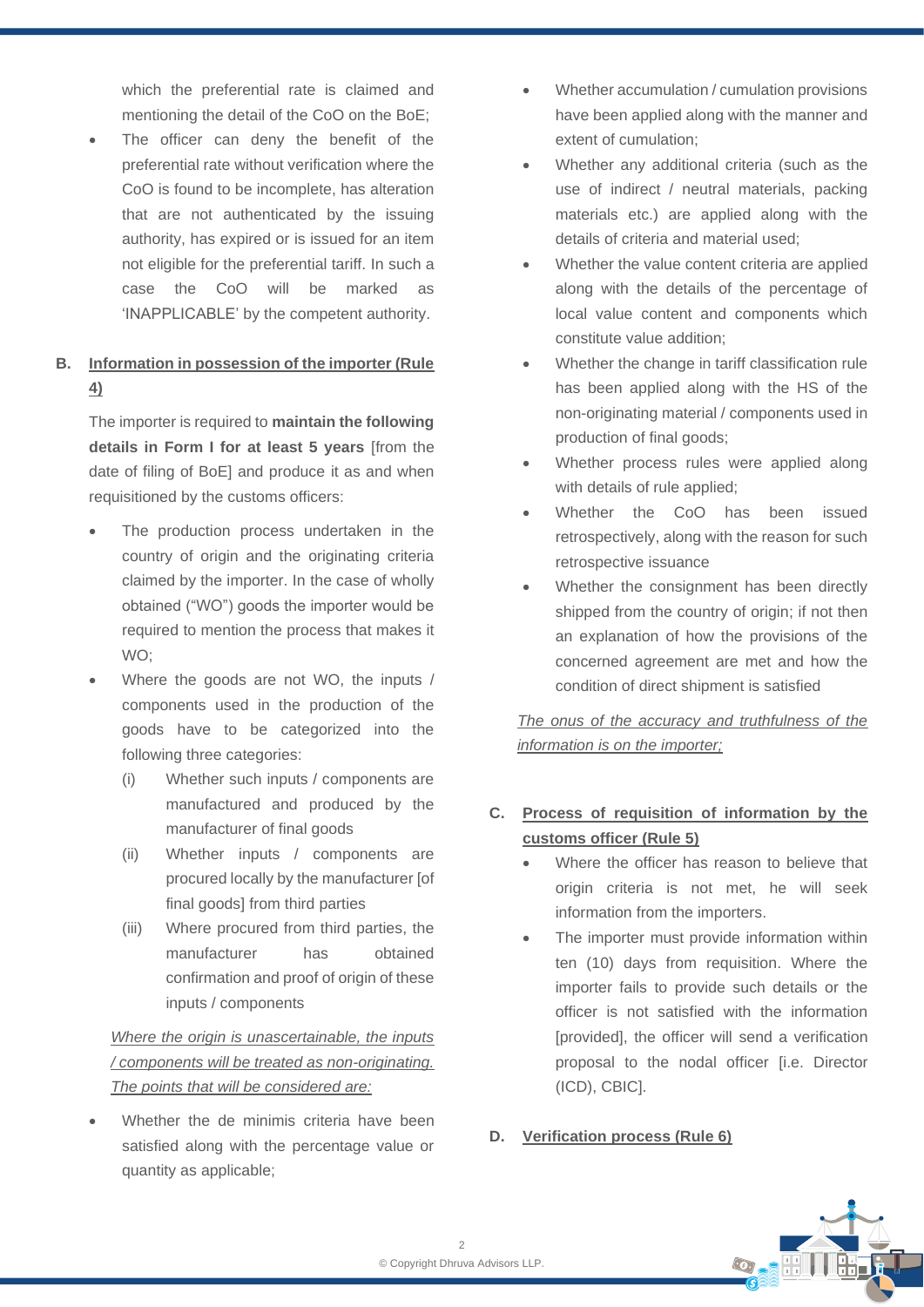which the preferential rate is claimed and mentioning the detail of the CoO on the BoE;

The officer can deny the benefit of the preferential rate without verification where the CoO is found to be incomplete, has alteration that are not authenticated by the issuing authority, has expired or is issued for an item not eligible for the preferential tariff. In such a case the CoO will be marked as 'INAPPLICABLE' by the competent authority.

## **B. Information in possession of the importer (Rule 4)**

The importer is required to **maintain the following details in Form I for at least 5 years** [from the date of filing of BoE] and produce it as and when requisitioned by the customs officers:

- The production process undertaken in the country of origin and the originating criteria claimed by the importer. In the case of wholly obtained ("WO") goods the importer would be required to mention the process that makes it WO;
- Where the goods are not WO, the inputs / components used in the production of the goods have to be categorized into the following three categories:
	- (i) Whether such inputs / components are manufactured and produced by the manufacturer of final goods
	- (ii) Whether inputs / components are procured locally by the manufacturer [of final goods] from third parties
	- (iii) Where procured from third parties, the manufacturer has obtained confirmation and proof of origin of these inputs / components

# *Where the origin is unascertainable, the inputs / components will be treated as non-originating. The points that will be considered are:*

Whether the de minimis criteria have been satisfied along with the percentage value or quantity as applicable;

- Whether accumulation / cumulation provisions have been applied along with the manner and extent of cumulation;
- Whether any additional criteria (such as the use of indirect / neutral materials, packing materials etc.) are applied along with the details of criteria and material used;
- Whether the value content criteria are applied along with the details of the percentage of local value content and components which constitute value addition;
- Whether the change in tariff classification rule has been applied along with the HS of the non-originating material / components used in production of final goods;
- Whether process rules were applied along with details of rule applied;
- Whether the CoO has been issued retrospectively, along with the reason for such retrospective issuance
- Whether the consignment has been directly shipped from the country of origin; if not then an explanation of how the provisions of the concerned agreement are met and how the condition of direct shipment is satisfied

*The onus of the accuracy and truthfulness of the information is on the importer;*

## **C. Process of requisition of information by the customs officer (Rule 5)**

- Where the officer has reason to believe that origin criteria is not met, he will seek information from the importers.
- The importer must provide information within ten (10) days from requisition. Where the importer fails to provide such details or the officer is not satisfied with the information [provided], the officer will send a verification proposal to the nodal officer [i.e. Director (ICD), CBIC].

#### **D. Verification process (Rule 6)**

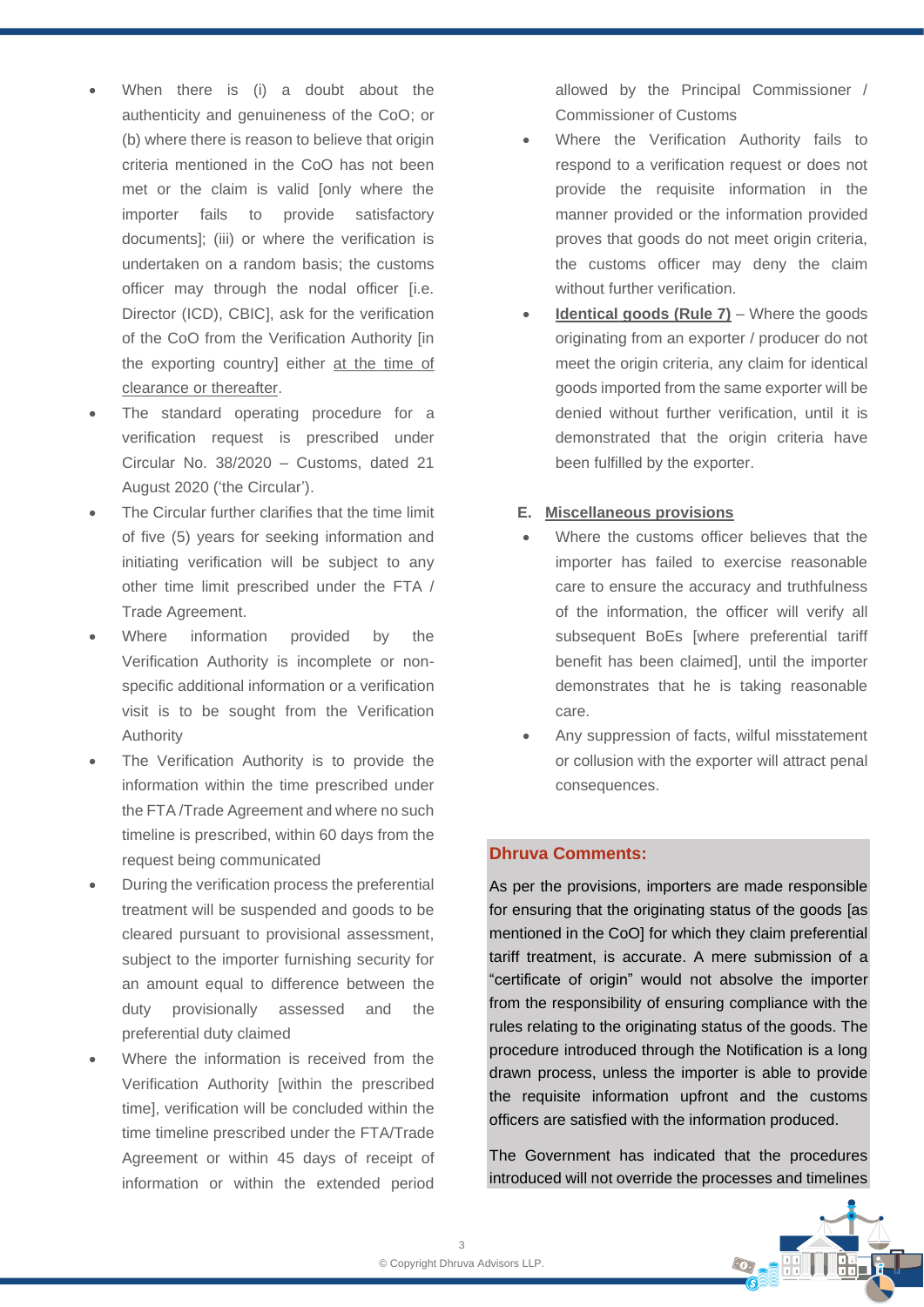- When there is (i) a doubt about the authenticity and genuineness of the CoO; or (b) where there is reason to believe that origin criteria mentioned in the CoO has not been met or the claim is valid [only where the importer fails to provide satisfactory documents]; (iii) or where the verification is undertaken on a random basis; the customs officer may through the nodal officer [i.e. Director (ICD), CBIC], ask for the verification of the CoO from the Verification Authority [in the exporting country] either at the time of clearance or thereafter.
- The standard operating procedure for a verification request is prescribed under Circular No. 38/2020 – Customs, dated 21 August 2020 ('the Circular').
- The Circular further clarifies that the time limit of five (5) years for seeking information and initiating verification will be subject to any other time limit prescribed under the FTA / Trade Agreement.
- Where information provided by the Verification Authority is incomplete or nonspecific additional information or a verification visit is to be sought from the Verification Authority
- The Verification Authority is to provide the information within the time prescribed under the FTA /Trade Agreement and where no such timeline is prescribed, within 60 days from the request being communicated
- During the verification process the preferential treatment will be suspended and goods to be cleared pursuant to provisional assessment, subject to the importer furnishing security for an amount equal to difference between the duty provisionally assessed and the preferential duty claimed
- Where the information is received from the Verification Authority [within the prescribed time], verification will be concluded within the time timeline prescribed under the FTA/Trade Agreement or within 45 days of receipt of information or within the extended period

allowed by the Principal Commissioner / Commissioner of Customs

- Where the Verification Authority fails to respond to a verification request or does not provide the requisite information in the manner provided or the information provided proves that goods do not meet origin criteria, the customs officer may deny the claim without further verification.
- **Identical goods (Rule 7)** Where the goods originating from an exporter / producer do not meet the origin criteria, any claim for identical goods imported from the same exporter will be denied without further verification, until it is demonstrated that the origin criteria have been fulfilled by the exporter.

#### **E. Miscellaneous provisions**

- Where the customs officer believes that the importer has failed to exercise reasonable care to ensure the accuracy and truthfulness of the information, the officer will verify all subsequent BoEs [where preferential tariff benefit has been claimed], until the importer demonstrates that he is taking reasonable care.
- Any suppression of facts, wilful misstatement or collusion with the exporter will attract penal consequences.

#### **Dhruva Comments:**

As per the provisions, importers are made responsible for ensuring that the originating status of the goods [as mentioned in the CoO] for which they claim preferential tariff treatment, is accurate. A mere submission of a "certificate of origin" would not absolve the importer from the responsibility of ensuring compliance with the rules relating to the originating status of the goods. The procedure introduced through the Notification is a long drawn process, unless the importer is able to provide the requisite information upfront and the customs officers are satisfied with the information produced.

The Government has indicated that the procedures introduced will not override the processes and timelines

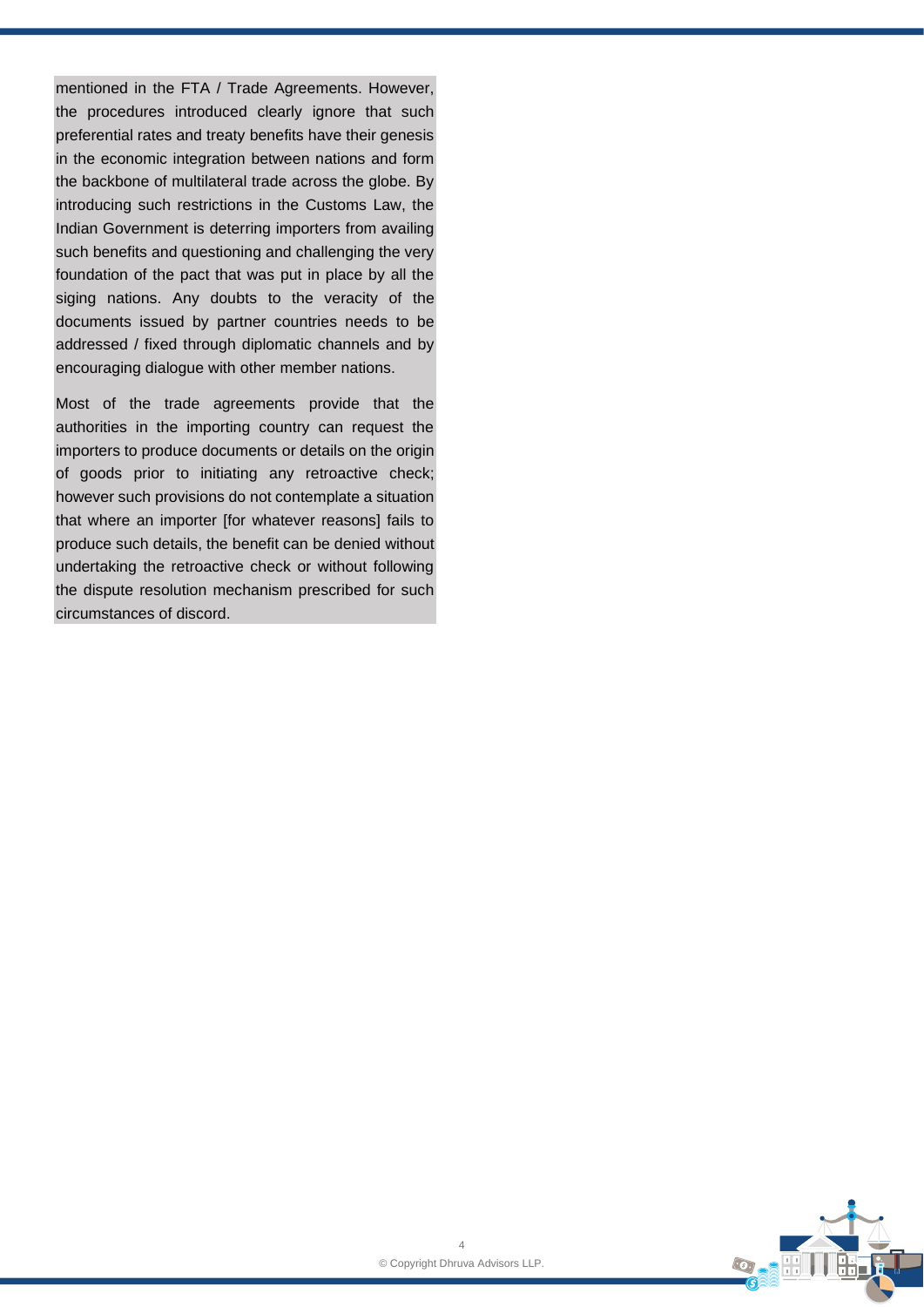mentioned in the FTA / Trade Agreements. However, the procedures introduced clearly ignore that such preferential rates and treaty benefits have their genesis in the economic integration between nations and form the backbone of multilateral trade across the globe. By introducing such restrictions in the Customs Law, the Indian Government is deterring importers from availing such benefits and questioning and challenging the very foundation of the pact that was put in place by all the siging nations. Any doubts to the veracity of the documents issued by partner countries needs to be addressed / fixed through diplomatic channels and by encouraging dialogue with other member nations.

Most of the trade agreements provide that the authorities in the importing country can request the importers to produce documents or details on the origin of goods prior to initiating any retroactive check; however such provisions do not contemplate a situation that where an importer [for whatever reasons] fails to produce such details, the benefit can be denied without undertaking the retroactive check or without following the dispute resolution mechanism prescribed for such circumstances of discord.